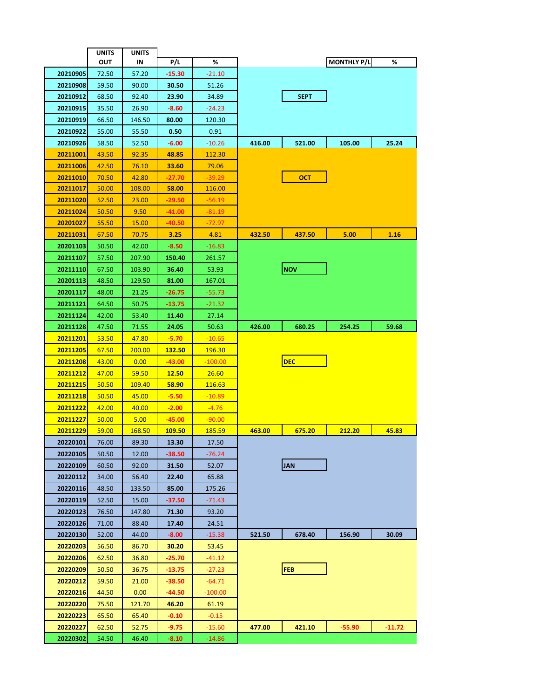|                 | <b>UNITS</b> | UNITS         |               |               |        |               |                    |          |
|-----------------|--------------|---------------|---------------|---------------|--------|---------------|--------------------|----------|
|                 | OUT          | IN            | P/L           | %             |        |               | <b>MONTHLY P/L</b> | %        |
| 20210905        | 72.50        | 57.20         | $-15.30$      | $-21.10$      |        |               |                    |          |
| 20210908        | 59.50        | 90.00         | 30.50         | 51.26         |        |               |                    |          |
| 20210912        | 68.50        | 92.40         | 23.90         | 34.89         |        | <b>SEPT</b>   |                    |          |
| 20210915        | 35.50        | 26.90         | $-8.60$       | $-24.23$      |        |               |                    |          |
| 20210919        | 66.50        | 146.50        | 80.00         | 120.30        |        |               |                    |          |
| 20210922        | 55.00        | 55.50         | 0.50          | 0.91          |        |               |                    |          |
| 20210926        | 58.50        | 52.50         | -6.00         | $-10.26$      | 416.00 | 521.00        | 105.00             | 25.24    |
| 20211001        | 43.50        | 92.35         | 48.85         | 112.30        |        |               |                    |          |
| 20211006        | 42.50        | 76.10         | 33.60         | 79.06         |        |               |                    |          |
| 20211010        | 70.50        | 42.80         | -27.70        | $-39.29$      |        | <b>OCT</b>    |                    |          |
| 20211017        | 50.00        | <b>108.00</b> | 58.00         | 116.00        |        |               |                    |          |
| 20211020        | 52.50        | 23.00         | -29.50        | -56.19        |        |               |                    |          |
| 20211024        | 50.50        | 9.50          | $-41.00$      | $-81.19$      |        |               |                    |          |
| 20201027        | 55.50        | 15.00         | -40.50        | -72.97        |        |               |                    |          |
| <u>20211031</u> | 67.50        | 70.75         | 3.25          | 4.81          | 432.50 | <b>437.50</b> | 5.00               | 1.16     |
| 20201103        | 50.50        | 42.00         | -8.50         | $-16.83$      |        |               |                    |          |
| 20211107        | 57.50        | 207.90        | 150.40        | 261.57        |        |               |                    |          |
| 20211110        | 67.50        | 103.90        | 36.40         | 53.93         |        | <b>NOV</b>    |                    |          |
| 20201113        | 48.50        | 129.50        | 81.00         | 167.01        |        |               |                    |          |
| 20201117        | 48.00        | 21.25         | -26.75        | $-55.73$      |        |               |                    |          |
| 20211121        | 64.50        | 50.75         | $-13.75$      | $-21.32$      |        |               |                    |          |
| 20211124        | 42.00        | 53.40         | 11.40         | 27.14         |        |               |                    |          |
| 20211128        | 47.50        | 71.55         | 24.05         | 50.63         | 426.00 | 680.25        | 254.25             | 59.68    |
| 20211201        | 53.50        | 47.80         | $-5.70$       | $-10.65$      |        |               |                    |          |
| 20211205        | 67.50        | 200.00        | <b>132.50</b> | 196.30        |        |               |                    |          |
| 20211208        | 43.00        | 0.00          | $-43.00$      | $-100.00$     |        | <b>DEC</b>    |                    |          |
| 20211212        | 47.00        | 59.50         | <u>12.50</u>  | 26.60         |        |               |                    |          |
| 20211215        | 50.50        | <u>109.40</u> | 58.90         | <u>116.63</u> |        |               |                    |          |
| 20211218        | 50.50        | 45.00         | $-5.50$       | $-10.89$      |        |               |                    |          |
| <u>20211222</u> | 42.00        | 40.00         | $-2.00$       | $-4.76$       |        |               |                    |          |
| 20211227        | 50.00        | 5.00          | $-45.00$      | $-90.00$      |        |               |                    |          |
| 20211229        | 59.00        | 168.50        | 109.50        | 185.59        | 463.00 | 675.20        | 212.20             | 45.83    |
| 20220101        | 76.00        | 89.30         | 13.30         | 17.50         |        |               |                    |          |
| 20220105        | 50.50        | 12.00         | -38.50        | -76.24        |        |               |                    |          |
| 20220109        | 60.50        | 92.00         | 31.50         | 52.07         |        | <b>JAN</b>    |                    |          |
| 20220112        | 34.00        | 56.40         | 22.40         | 65.88         |        |               |                    |          |
| 20220116        | 48.50        | 133.50        | 85.00         | 175.26        |        |               |                    |          |
| 20220119        | 52.50        | 15.00         | -37.50        | -71.43        |        |               |                    |          |
| 20220123        | 76.50        | 147.80        | 71.30         | 93.20         |        |               |                    |          |
| 20220126        | 71.00        | 88.40         | 17.40         | 24.51         |        |               |                    |          |
| 20220130        | 52.00        | 44.00         | $-8.00$       | $-15.38$      | 521.50 | 678.40        | 156.90             | 30.09    |
| 20220203        | 56.50        | 86.70         | 30.20         | 53.45         |        |               |                    |          |
| 20220206        | 62.50        | 36.80         | -25.70        | -41.12        |        |               |                    |          |
| 20220209        | 50.50        | 36.75         | -13.75        | -27.23        |        | <b>FEB</b>    |                    |          |
| 20220212        | 59.50        | 21.00         | -38.50        | -64.71        |        |               |                    |          |
| 20220216        | 44.50        | 0.00          | -44.50        | -100.00       |        |               |                    |          |
| 20220220        | 75.50        | 121.70        | 46.20         | 61.19         |        |               |                    |          |
| 20220223        | 65.50        | 65.40         | $-0.10$       | $-0.15$       |        |               |                    |          |
| 20220227        | 62.50        | 52.75         | -9.75         | $-15.60$      | 477.00 | 421.10        | -55.90             | $-11.72$ |
| 20220302        | 54.50        | 46.40         | $-8.10$       | -14.86        |        |               |                    |          |